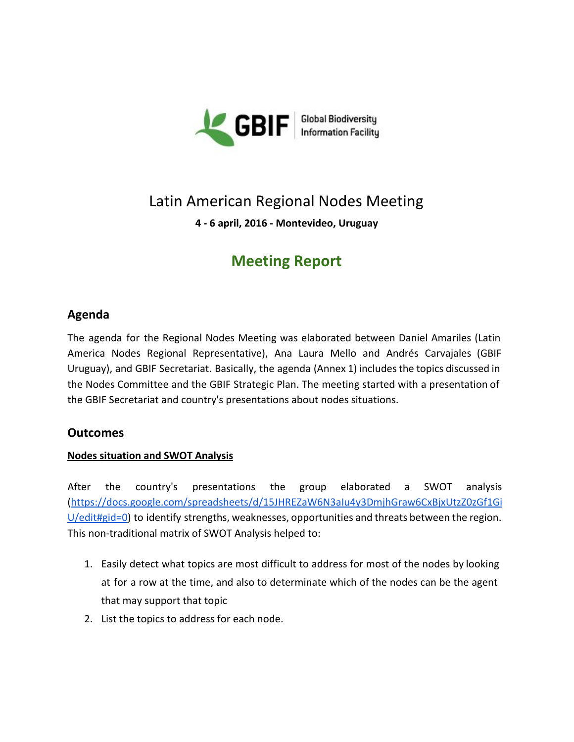

## Latin American Regional Nodes Meeting

**4 6 april, 2016 Montevideo, Uruguay**

## **Meeting Report**

### **Agenda**

The agenda for the Regional Nodes Meeting was elaborated between Daniel Amariles (Latin America Nodes Regional Representative), Ana Laura Mello and Andrés Carvajales (GBIF Uruguay), and GBIF Secretariat. Basically, the agenda (Annex 1) includes the topics discussed in the Nodes Committee and the GBIF Strategic Plan. The meeting started with a presentation of the GBIF Secretariat and country's presentations about nodes situations.

#### **Outcomes**

#### **Nodes situation and SWOT Analysis**

After the country's presentations the group elaborated a SWOT analysis [\(https://docs.google.com/spreadsheets/d/15JHREZaW6N3aIu4y3DmjhGraw6CxBjxUtzZ0zGf1Gi](https://docs.google.com/spreadsheets/d/15JHREZaW6N3aIu4y3DmjhGraw6CxBjxUtzZ0zGf1GiU/edit#gid=0)  $U/$ edit#gid=0) to identify strengths, weaknesses, opportunities and threats between the region. This non-traditional matrix of SWOT Analysis helped to:

- 1. Easily detect what topics are most difficult to address for most of the nodes by looking at for a row at the time, and also to determinate which of the nodes can be the agent that may support that topic
- 2. List the topics to address for each node.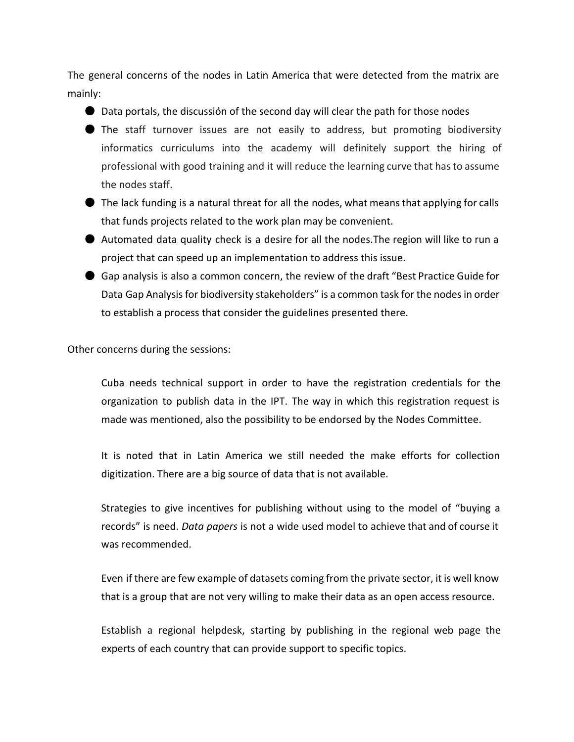The general concerns of the nodes in Latin America that were detected from the matrix are mainly:

● Data portals, the discussión of the second day will clear the path for those nodes

- The staff turnover issues are not easily to address, but promoting biodiversity informatics curriculums into the academy will definitely support the hiring of professional with good training and it will reduce the learning curve that hasto assume the nodes staff.
- $\bullet$  The lack funding is a natural threat for all the nodes, what means that applying for calls that funds projects related to the work plan may be convenient.
- Automated data quality check is a desire for all the nodes.The region will like to run a project that can speed up an implementation to address this issue.
- Gap analysis is also a common concern, the review of the draft "Best Practice Guide for Data Gap Analysis for biodiversity stakeholders" is a common task for the nodes in order to establish a process that consider the guidelines presented there.

Other concerns during the sessions:

Cuba needs technical support in order to have the registration credentials for the organization to publish data in the IPT. The way in which this registration request is made was mentioned, also the possibility to be endorsed by the Nodes Committee.

It is noted that in Latin America we still needed the make efforts for collection digitization. There are a big source of data that is not available.

Strategies to give incentives for publishing without using to the model of "buying a records" is need. *Data papers* is not a wide used model to achieve that and of course it was recommended.

Even if there are few example of datasets coming from the private sector, it is well know that is a group that are not very willing to make their data as an open access resource.

Establish a regional helpdesk, starting by publishing in the regional web page the experts of each country that can provide support to specific topics.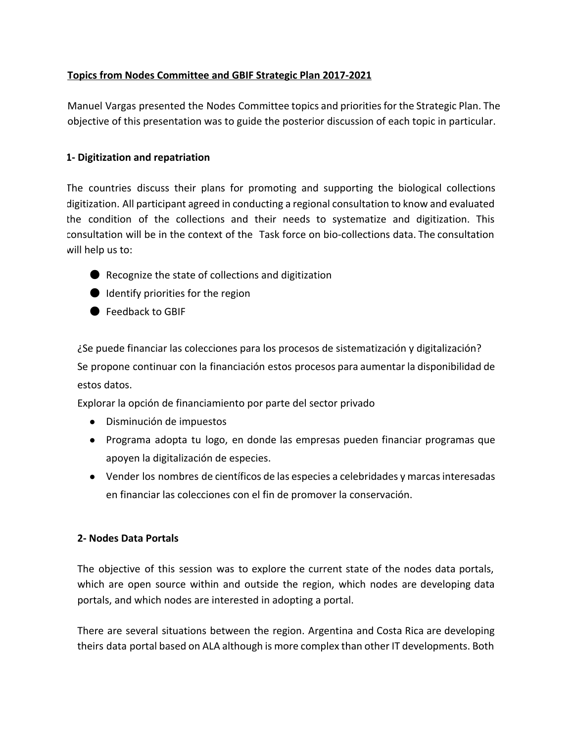#### **Topics from Nodes Committee and GBIF Strategic Plan 2017-2021**

Manuel Vargas presented the Nodes Committee topics and prioritiesfor the Strategic Plan. The objective of this presentation was to guide the posterior discussion of each topic in particular.

#### **1 Digitization and repatriation**

The countries discuss their plans for promoting and supporting the biological collections digitization. All participant agreed in conducting a regional consultation to know and evaluated the condition of the collections and their needs to systematize and digitization. This consultation will be in the context of the Task force on bio-collections data. The consultation will help us to:

- Recognize the state of collections and digitization
- Identify priorities for the region
- Feedback to GBIF

¿Se puede financiar las colecciones para los procesos de sistematización y digitalización? Se propone continuar con la financiación estos procesos para aumentar la disponibilidad de estos datos.

Explorar la opción de financiamiento por parte del sector privado

- Disminución de impuestos
- Programa adopta tu logo, en donde las empresas pueden financiar programas que apoyen la digitalización de especies.
- Vender los nombres de científicos de las especies a celebridades y marcas interesadas en financiar las colecciones con el fin de promover la conservación.

#### **2 Nodes Data Portals**

The objective of this session was to explore the current state of the nodes data portals, which are open source within and outside the region, which nodes are developing data portals, and which nodes are interested in adopting a portal.

There are several situations between the region. Argentina and Costa Rica are developing theirs data portal based on ALA although is more complex than other IT developments. Both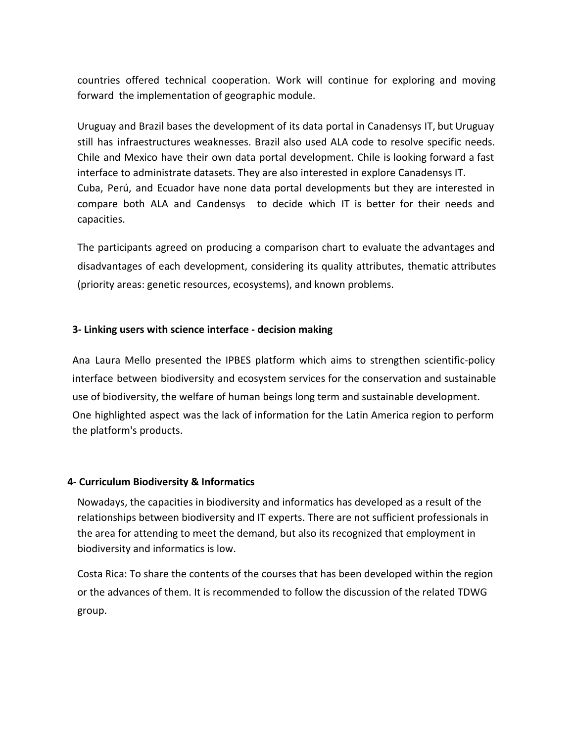countries offered technical cooperation. Work will continue for exploring and moving forward the implementation of geographic module.

Uruguay and Brazil bases the development of its data portal in Canadensys IT, but Uruguay still has infraestructures weaknesses. Brazil also used ALA code to resolve specific needs. Chile and Mexico have their own data portal development. Chile is looking forward a fast interface to administrate datasets. They are also interested in explore Canadensys IT. Cuba, Perú, and Ecuador have none data portal developments but they are interested in compare both ALA and Candensys to decide which IT is better for their needs and capacities.

The participants agreed on producing a comparison chart to evaluate the advantages and disadvantages of each development, considering its quality attributes, thematic attributes (priority areas: genetic resources, ecosystems), and known problems.

#### **3 Linking users with science interface decision making**

Ana Laura Mello presented the IPBES platform which aims to strengthen scientific-policy interface between biodiversity and ecosystem services for the conservation and sustainable use of biodiversity, the welfare of human beings long term and sustainable development. One highlighted aspect was the lack of information for the Latin America region to perform the platform's products.

#### **4 Curriculum Biodiversity & Informatics**

Nowadays, the capacities in biodiversity and informatics has developed as a result of the relationships between biodiversity and IT experts. There are not sufficient professionals in the area for attending to meet the demand, but also its recognized that employment in biodiversity and informatics is low.

Costa Rica: To share the contents of the courses that has been developed within the region or the advances of them. It is recommended to follow the discussion of the related TDWG group.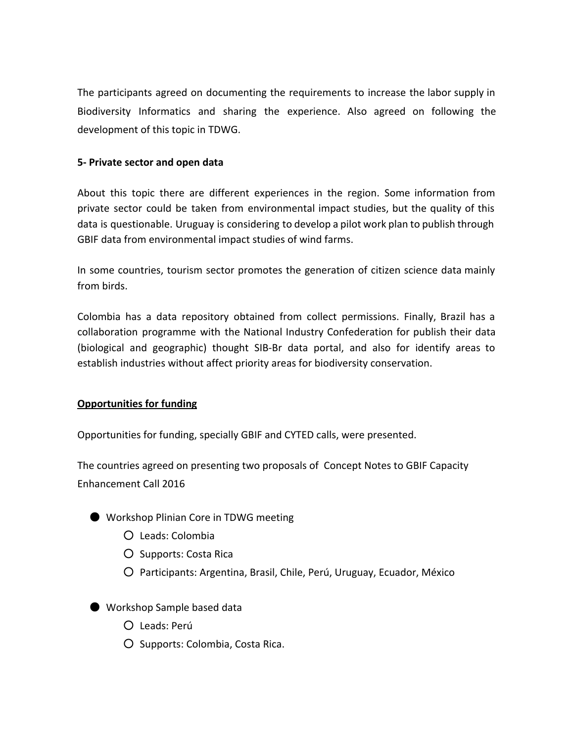The participants agreed on documenting the requirements to increase the labor supply in Biodiversity Informatics and sharing the experience. Also agreed on following the development of this topic in TDWG.

#### **5 Private sector and open data**

About this topic there are different experiences in the region. Some information from private sector could be taken from environmental impact studies, but the quality of this data is questionable. Uruguay is considering to develop a pilot work plan to publish through GBIF data from environmental impact studies of wind farms.

In some countries, tourism sector promotes the generation of citizen science data mainly from birds.

Colombia has a data repository obtained from collect permissions. Finally, Brazil has a collaboration programme with the National Industry Confederation for publish their data (biological and geographic) thought SIB-Br data portal, and also for identify areas to establish industries without affect priority areas for biodiversity conservation.

#### **Opportunities for funding**

Opportunities for funding, specially GBIF and CYTED calls, were presented.

The countries agreed on presenting two proposals of Concept Notes to GBIF Capacity Enhancement Call 2016

- Workshop Plinian Core in TDWG meeting
	- Leads: Colombia
	- Supports: Costa Rica
	- Participants: Argentina, Brasil, Chile, Perú, Uruguay, Ecuador, México
- Workshop Sample based data
	- Leads: Perú
	- Supports: Colombia, Costa Rica.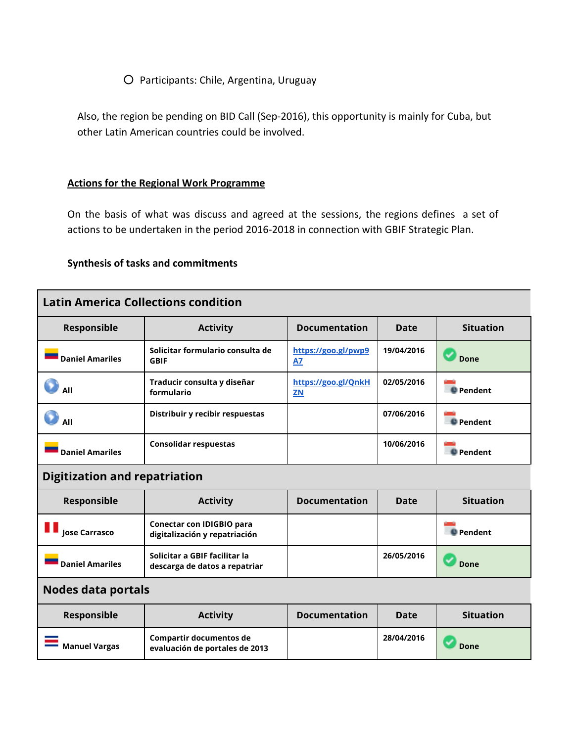#### ○ Participants: Chile, Argentina, Uruguay

Also, the region be pending on BID Call (Sep-2016), this opportunity is mainly for Cuba, but other Latin American countries could be involved.

#### **Actions for the Regional Work Programme**

On the basis of what was discuss and agreed at the sessions, the regions defines a set of actions to be undertaken in the period 2016-2018 in connection with GBIF Strategic Plan.

#### **Synthesis of tasks and commitments**

| <b>Latin America Collections condition</b> |                                                                |                                  |            |                  |
|--------------------------------------------|----------------------------------------------------------------|----------------------------------|------------|------------------|
| Responsible                                | <b>Activity</b>                                                | <b>Documentation</b>             | Date       | <b>Situation</b> |
| <b>Daniel Amariles</b>                     | Solicitar formulario consulta de<br><b>GBIF</b>                | https://goo.gl/pwp9<br><b>A7</b> | 19/04/2016 | Done             |
| All                                        | Traducir consulta y diseñar<br>formulario                      | https://goo.gl/QnkH<br><b>ZN</b> | 02/05/2016 | <b>Pendent</b>   |
| All                                        | Distribuir y recibir respuestas                                |                                  | 07/06/2016 | <b>Pendent</b>   |
| <b>Daniel Amariles</b>                     | <b>Consolidar respuestas</b>                                   |                                  | 10/06/2016 | <b>Pendent</b>   |
| <b>Digitization and repatriation</b>       |                                                                |                                  |            |                  |
| Responsible                                | <b>Activity</b>                                                | <b>Documentation</b>             | Date       | <b>Situation</b> |
| <b>Jose Carrasco</b>                       | Conectar con IDIGBIO para<br>digitalización y repatriación     |                                  |            | <b>Pendent</b>   |
| <b>Daniel Amariles</b>                     | Solicitar a GBIF facilitar la<br>descarga de datos a repatriar |                                  | 26/05/2016 | Done             |
| <b>Nodes data portals</b>                  |                                                                |                                  |            |                  |
| Responsible                                | <b>Activity</b>                                                | <b>Documentation</b>             | Date       | <b>Situation</b> |
| <b>Manuel Vargas</b>                       | Compartir documentos de<br>evaluación de portales de 2013      |                                  | 28/04/2016 | Done             |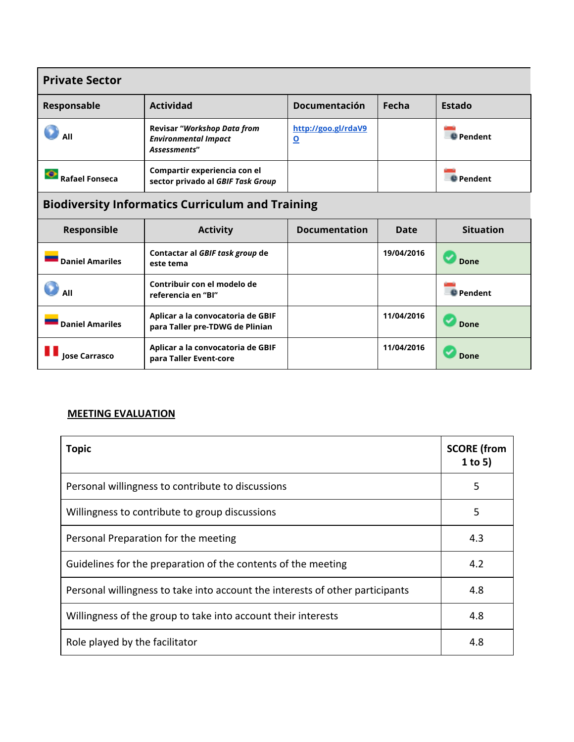| <b>Private Sector</b>                                   |                                                                                   |                                                |            |                  |
|---------------------------------------------------------|-----------------------------------------------------------------------------------|------------------------------------------------|------------|------------------|
| Responsable                                             | <b>Actividad</b>                                                                  | Documentación                                  | Fecha      | <b>Estado</b>    |
| All                                                     | <b>Revisar "Workshop Data from</b><br><b>Environmental Impact</b><br>Assessments" | http://goo.gl/rdaV9<br>$\overline{\mathbf{o}}$ |            | <b>D</b> Pendent |
| <b>Rafael Fonseca</b>                                   | Compartir experiencia con el<br>sector privado al GBIF Task Group                 |                                                |            | <b>D</b> Pendent |
| <b>Biodiversity Informatics Curriculum and Training</b> |                                                                                   |                                                |            |                  |
| Responsible                                             | <b>Activity</b>                                                                   | <b>Documentation</b>                           | Date       | <b>Situation</b> |
| <b>Daniel Amariles</b>                                  | Contactar al GBIF task group de<br>este tema                                      |                                                | 19/04/2016 | Done             |
| All                                                     | Contribuir con el modelo de<br>referencia en "Bl"                                 |                                                |            | <b>Pendent</b>   |
| <b>Daniel Amariles</b>                                  | Aplicar a la convocatoria de GBIF<br>para Taller pre-TDWG de Plinian              |                                                | 11/04/2016 | <b>Done</b>      |
| <b>Jose Carrasco</b>                                    | Aplicar a la convocatoria de GBIF<br>para Taller Event-core                       |                                                | 11/04/2016 | Done             |

### **MEETING EVALUATION**

| <b>Topic</b>                                                                  | <b>SCORE</b> (from<br>1 to 5) |
|-------------------------------------------------------------------------------|-------------------------------|
| Personal willingness to contribute to discussions                             | 5                             |
| Willingness to contribute to group discussions                                | 5                             |
| Personal Preparation for the meeting                                          | 4.3                           |
| Guidelines for the preparation of the contents of the meeting                 | 4.2                           |
| Personal willingness to take into account the interests of other participants | 4.8                           |
| Willingness of the group to take into account their interests                 | 4.8                           |
| Role played by the facilitator                                                | 4.8                           |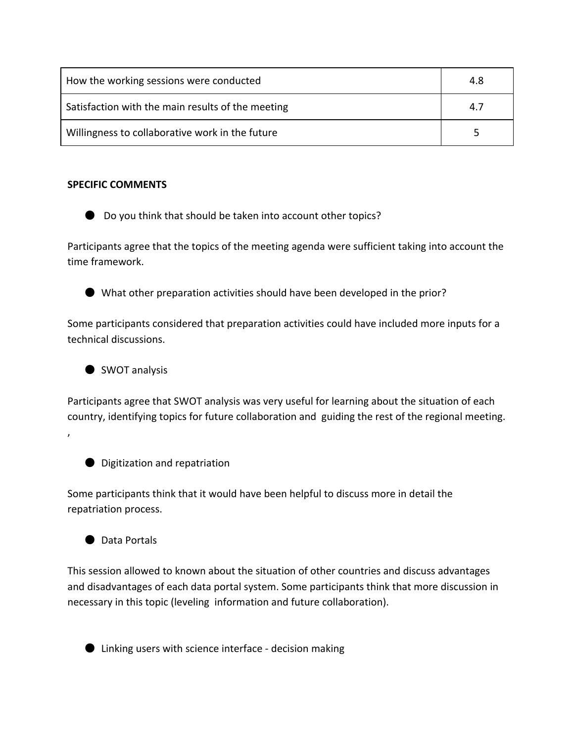| How the working sessions were conducted           | 4.8 |
|---------------------------------------------------|-----|
| Satisfaction with the main results of the meeting | 4.7 |
| Willingness to collaborative work in the future   |     |

#### **SPECIFIC COMMENTS**

● Do you think that should be taken into account other topics?

Participants agree that the topics of the meeting agenda were sufficient taking into account the time framework.



● What other preparation activities should have been developed in the prior?

Some participants considered that preparation activities could have included more inputs for a technical discussions.



Participants agree that SWOT analysis was very useful for learning about the situation of each country, identifying topics for future collaboration and guiding the rest of the regional meeting. ,

● Digitization and repatriation

Some participants think that it would have been helpful to discuss more in detail the repatriation process.



This session allowed to known about the situation of other countries and discuss advantages and disadvantages of each data portal system. Some participants think that more discussion in necessary in this topic (leveling information and future collaboration).



● Linking users with science interface - decision making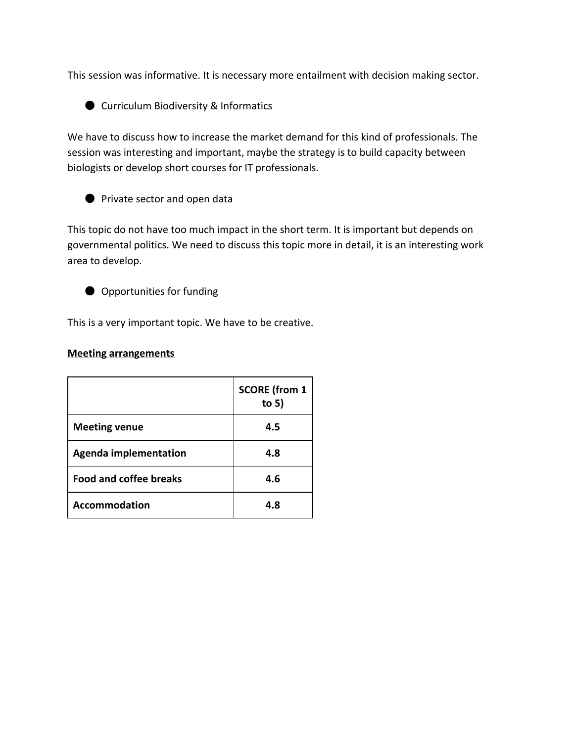This session was informative. It is necessary more entailment with decision making sector.

● Curriculum Biodiversity & Informatics

We have to discuss how to increase the market demand for this kind of professionals. The session was interesting and important, maybe the strategy is to build capacity between biologists or develop short courses for IT professionals.

● Private sector and open data

This topic do not have too much impact in the short term. It is important but depends on governmental politics. We need to discuss this topic more in detail, it is an interesting work area to develop.

● Opportunities for funding

This is a very important topic. We have to be creative.

#### **Meeting arrangements**

|                               | <b>SCORE</b> (from 1<br>to $5)$ |
|-------------------------------|---------------------------------|
| <b>Meeting venue</b>          | 4.5                             |
| <b>Agenda implementation</b>  | 4.8                             |
| <b>Food and coffee breaks</b> | 4.6                             |
| <b>Accommodation</b>          | 4.8                             |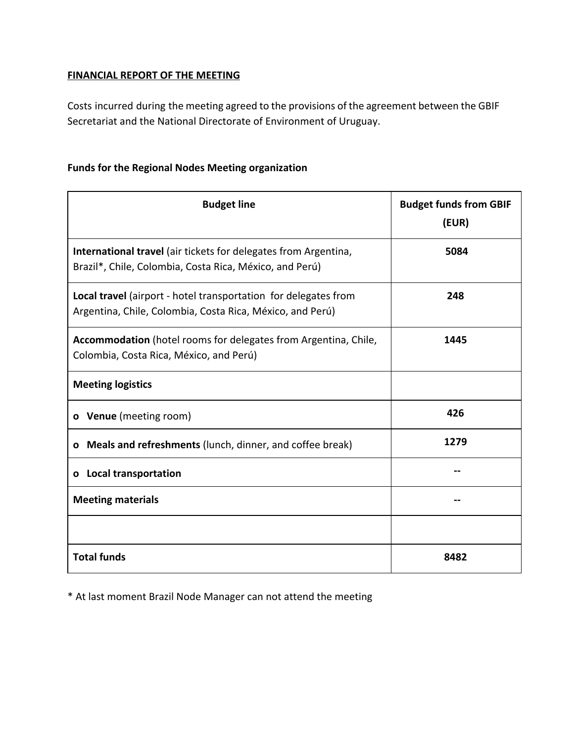#### **FINANCIAL REPORT OF THE MEETING**

Costs incurred during the meeting agreed to the provisions of the agreement between the GBIF Secretariat and the National Directorate of Environment of Uruguay.

#### **Funds for the Regional Nodes Meeting organization**

| <b>Budget line</b>                                                                                                           | <b>Budget funds from GBIF</b><br>(EUR) |
|------------------------------------------------------------------------------------------------------------------------------|----------------------------------------|
| International travel (air tickets for delegates from Argentina,<br>Brazil*, Chile, Colombia, Costa Rica, México, and Perú)   | 5084                                   |
| Local travel (airport - hotel transportation for delegates from<br>Argentina, Chile, Colombia, Costa Rica, México, and Perú) | 248                                    |
| Accommodation (hotel rooms for delegates from Argentina, Chile,<br>Colombia, Costa Rica, México, and Perú)                   | 1445                                   |
| <b>Meeting logistics</b>                                                                                                     |                                        |
| o Venue (meeting room)                                                                                                       | 426                                    |
| o Meals and refreshments (lunch, dinner, and coffee break)                                                                   | 1279                                   |
| o Local transportation                                                                                                       |                                        |
| <b>Meeting materials</b>                                                                                                     |                                        |
|                                                                                                                              |                                        |
| <b>Total funds</b>                                                                                                           | 8482                                   |

\* At last moment Brazil Node Manager can not attend the meeting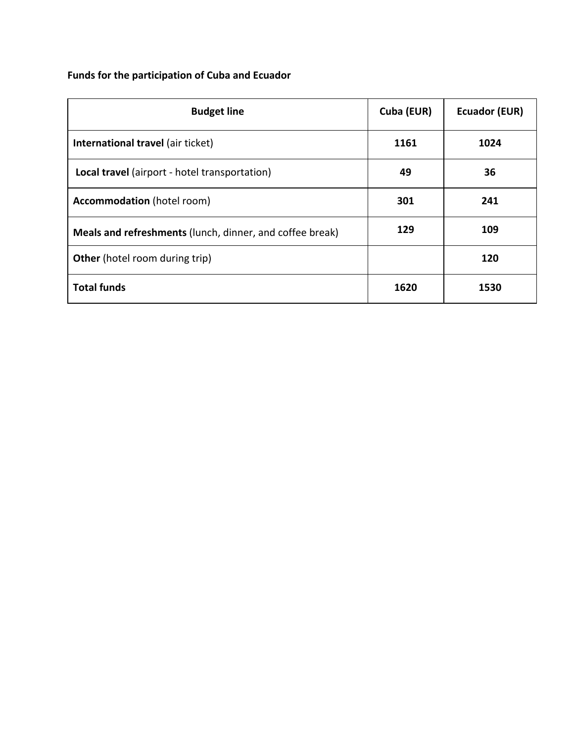### **Funds for the participation of Cuba and Ecuador**

| <b>Budget line</b>                                              | Cuba (EUR) | <b>Ecuador (EUR)</b> |
|-----------------------------------------------------------------|------------|----------------------|
| International travel (air ticket)                               | 1161       | 1024                 |
| Local travel (airport - hotel transportation)                   | 49         | 36                   |
| <b>Accommodation</b> (hotel room)                               | 301        | 241                  |
| <b>Meals and refreshments</b> (lunch, dinner, and coffee break) | 129        | 109                  |
| <b>Other</b> (hotel room during trip)                           |            | 120                  |
| <b>Total funds</b>                                              | 1620       | 1530                 |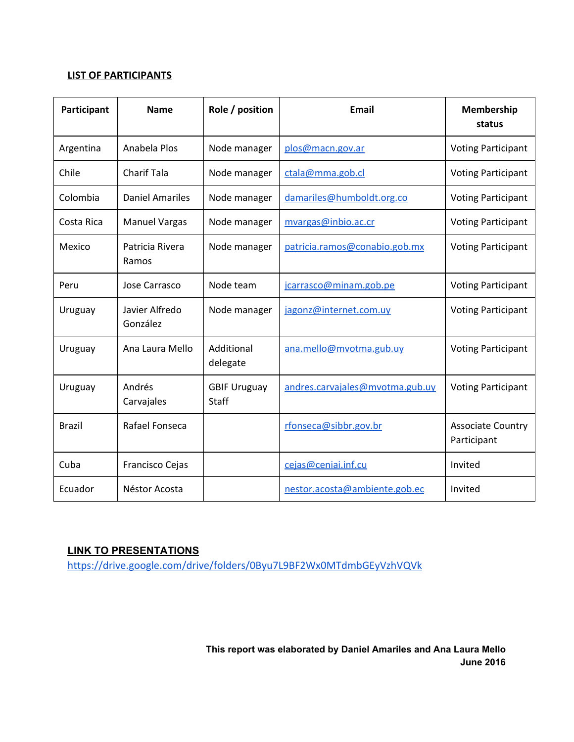#### **LIST OF PARTICIPANTS**

| Participant   | <b>Name</b>                | Role / position              | Email                           | <b>Membership</b><br>status             |
|---------------|----------------------------|------------------------------|---------------------------------|-----------------------------------------|
| Argentina     | Anabela Plos               | Node manager                 | plos@macn.gov.ar                | <b>Voting Participant</b>               |
| Chile         | <b>Charif Tala</b>         | Node manager                 | ctala@mma.gob.cl                | <b>Voting Participant</b>               |
| Colombia      | <b>Daniel Amariles</b>     | Node manager                 | damariles@humboldt.org.co       | <b>Voting Participant</b>               |
| Costa Rica    | <b>Manuel Vargas</b>       | Node manager                 | mvargas@inbio.ac.cr             | <b>Voting Participant</b>               |
| Mexico        | Patricia Rivera<br>Ramos   | Node manager                 | patricia.ramos@conabio.gob.mx   | <b>Voting Participant</b>               |
| Peru          | Jose Carrasco              | Node team                    | jcarrasco@minam.gob.pe          | <b>Voting Participant</b>               |
| Uruguay       | Javier Alfredo<br>González | Node manager                 | jagonz@internet.com.uy          | <b>Voting Participant</b>               |
| Uruguay       | Ana Laura Mello            | Additional<br>delegate       | ana.mello@mvotma.gub.uy         | <b>Voting Participant</b>               |
| Uruguay       | Andrés<br>Carvajales       | <b>GBIF Uruguay</b><br>Staff | andres.carvajales@mvotma.gub.uy | <b>Voting Participant</b>               |
| <b>Brazil</b> | Rafael Fonseca             |                              | rfonseca@sibbr.gov.br           | <b>Associate Country</b><br>Participant |
| Cuba          | Francisco Cejas            |                              | cejas@ceniai.inf.cu             | Invited                                 |
| Ecuador       | Néstor Acosta              |                              | nestor.acosta@ambiente.gob.ec   | Invited                                 |

#### **LINK TO PRESENTATIONS**

<https://drive.google.com/drive/folders/0Byu7L9BF2Wx0MTdmbGEyVzhVQVk>

**This report was elaborated by Daniel Amariles and Ana Laura Mello June 2016**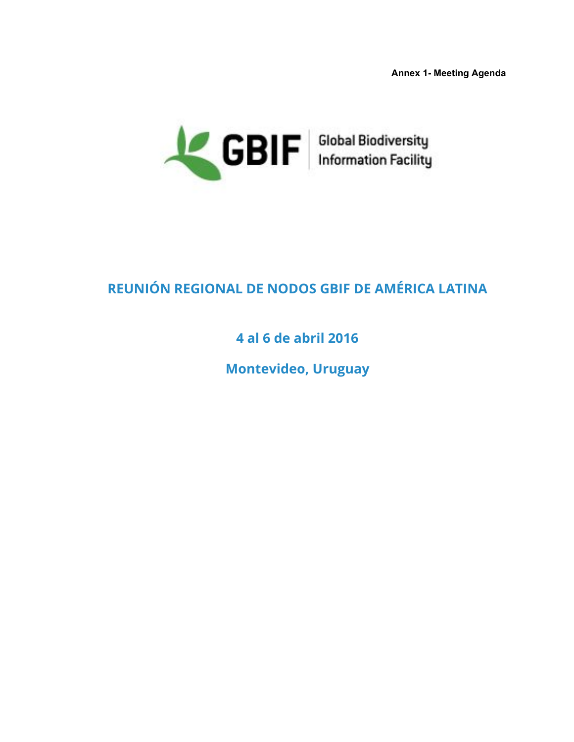**Annex 1 Meeting Agenda**



# **REUNIÓN REGIONAL DE NODOS GBIF DE AMÉRICA LATINA**

## **4 al 6 de abril 2016**

**Montevideo, Uruguay**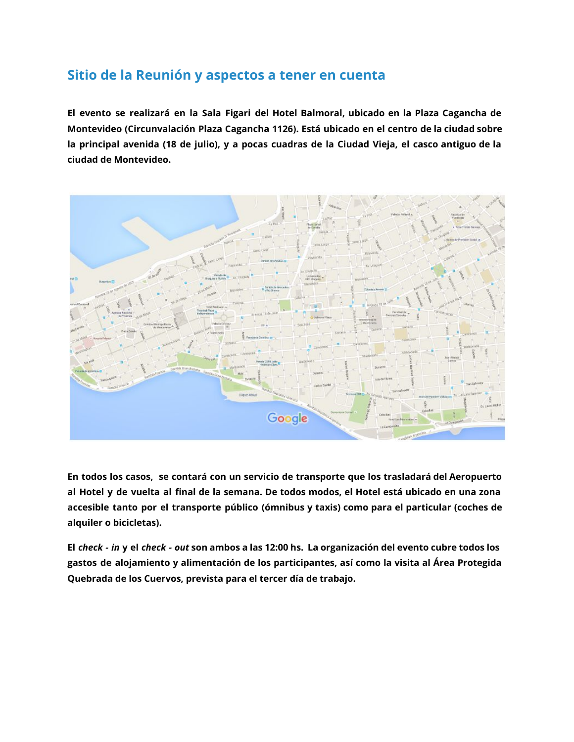### **Sitio de la Reunión y aspectos a tener en cuenta**

**El evento se realizará en la Sala Figari del Hotel Balmoral, ubicado en la Plaza Cagancha de Montevideo (Circunvalación Plaza Cagancha 1126). Está ubicado en el centro de la ciudad sobre** la principal avenida (18 de julio), y a pocas cuadras de la Ciudad Vieja, el casco antiguo de la **ciudad de Montevideo.**



**En todos los casos, se contará con un servicio de transporte que los trasladará del Aeropuerto** al Hotel y de vuelta al final de la semana. De todos modos, el Hotel está ubicado en una zona **accesible tanto por el transporte público (ómnibus y taxis) como para el particular (coches de alquiler o bicicletas).**

El check - in y el check - out son ambos a las 12:00 hs. La organización del evento cubre todos los **gastos de alojamiento y alimentación de los participantes, así como la visita al Área Protegida Quebrada de los Cuervos, prevista para el tercer día de trabajo.**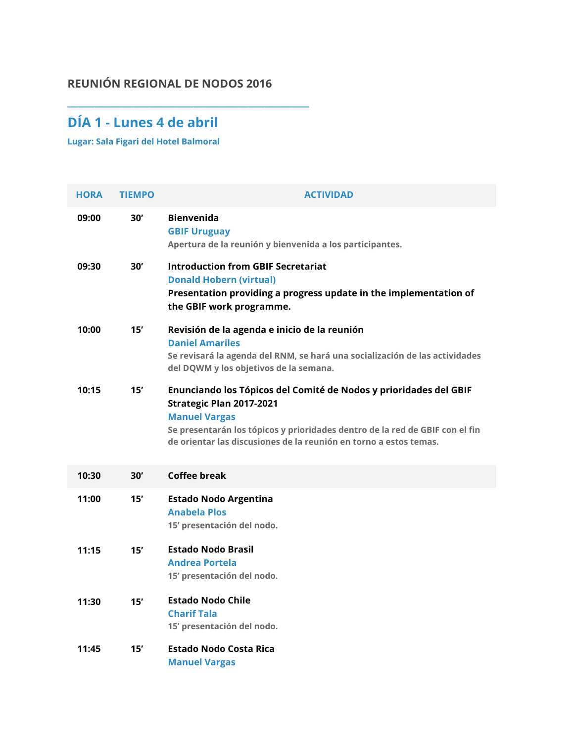### **REUNIÓN REGIONAL DE NODOS 2016**

**\_\_\_\_\_\_\_\_\_\_\_\_\_\_\_\_\_\_\_\_\_\_\_\_\_\_\_\_\_\_\_\_\_\_\_\_\_\_\_\_\_\_\_\_**

## **DÍA 1 - Lunes 4 de abril**

**Lugar: Sala Figari del Hotel Balmoral**

| <b>HORA</b> | <b>TIEMPO</b> | <b>ACTIVIDAD</b>                                                                                                                                                                                                                                                           |
|-------------|---------------|----------------------------------------------------------------------------------------------------------------------------------------------------------------------------------------------------------------------------------------------------------------------------|
| 09:00       | 30'           | <b>Bienvenida</b><br><b>GBIF Uruguay</b><br>Apertura de la reunión y bienvenida a los participantes.                                                                                                                                                                       |
| 09:30       | 30'           | <b>Introduction from GBIF Secretariat</b><br><b>Donald Hobern (virtual)</b><br>Presentation providing a progress update in the implementation of<br>the GBIF work programme.                                                                                               |
| 10:00       | 15'           | Revisión de la agenda e inicio de la reunión<br><b>Daniel Amariles</b><br>Se revisará la agenda del RNM, se hará una socialización de las actividades<br>del DQWM y los objetivos de la semana.                                                                            |
| 10:15       | 15'           | Enunciando los Tópicos del Comité de Nodos y prioridades del GBIF<br>Strategic Plan 2017-2021<br><b>Manuel Vargas</b><br>Se presentarán los tópicos y prioridades dentro de la red de GBIF con el fin<br>de orientar las discusiones de la reunión en torno a estos temas. |
| 10:30       | 30'           | Coffee break                                                                                                                                                                                                                                                               |
| 11:00       | 15'           | <b>Estado Nodo Argentina</b><br><b>Anabela Plos</b><br>15' presentación del nodo.                                                                                                                                                                                          |
| 11:15       | 15'           | <b>Estado Nodo Brasil</b><br><b>Andrea Portela</b><br>15' presentación del nodo.                                                                                                                                                                                           |
| 11:30       | 15'           | <b>Estado Nodo Chile</b><br><b>Charif Tala</b><br>15' presentación del nodo.                                                                                                                                                                                               |
| 11:45       | 15'           | Estado Nodo Costa Rica<br><b>Manuel Vargas</b>                                                                                                                                                                                                                             |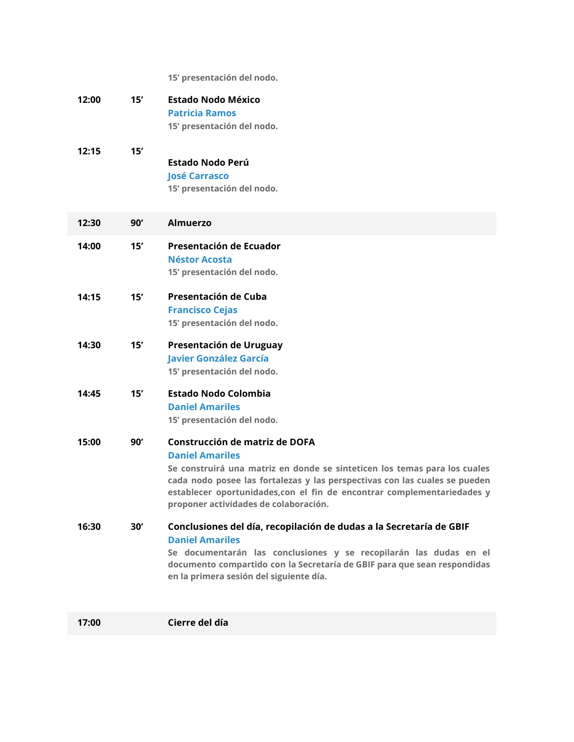**15' presentación del nodo.**

| 12:00 | 15' | <b>Estado Nodo México</b><br><b>Patricia Ramos</b><br>15' presentación del nodo.                                                                                                                                                                                                                                                        |
|-------|-----|-----------------------------------------------------------------------------------------------------------------------------------------------------------------------------------------------------------------------------------------------------------------------------------------------------------------------------------------|
| 12:15 | 15' | Estado Nodo Perú<br><b>José Carrasco</b><br>15' presentación del nodo.                                                                                                                                                                                                                                                                  |
| 12:30 | 90' | <b>Almuerzo</b>                                                                                                                                                                                                                                                                                                                         |
| 14:00 | 15' | Presentación de Ecuador<br>Néstor Acosta<br>15' presentación del nodo.                                                                                                                                                                                                                                                                  |
| 14:15 | 15' | Presentación de Cuba<br><b>Francisco Cejas</b><br>15' presentación del nodo.                                                                                                                                                                                                                                                            |
| 14:30 | 15' | Presentación de Uruguay<br><b>Javier González García</b><br>15' presentación del nodo.                                                                                                                                                                                                                                                  |
| 14:45 | 15' | <b>Estado Nodo Colombia</b><br><b>Daniel Amariles</b><br>15' presentación del nodo.                                                                                                                                                                                                                                                     |
| 15:00 | 90' | Construcción de matriz de DOFA<br><b>Daniel Amariles</b><br>Se construirá una matriz en donde se sinteticen los temas para los cuales<br>cada nodo posee las fortalezas y las perspectivas con las cuales se pueden<br>establecer oportunidades, con el fin de encontrar complementariedades y<br>proponer actividades de colaboración. |
| 16:30 | 30' | Conclusiones del día, recopilación de dudas a la Secretaría de GBIF<br><b>Daniel Amariles</b><br>Se documentarán las conclusiones y se recopilarán las dudas en el<br>documento compartido con la Secretaría de GBIF para que sean respondidas<br>en la primera sesión del siguiente día.                                               |
| 17:00 |     | Cierre del día                                                                                                                                                                                                                                                                                                                          |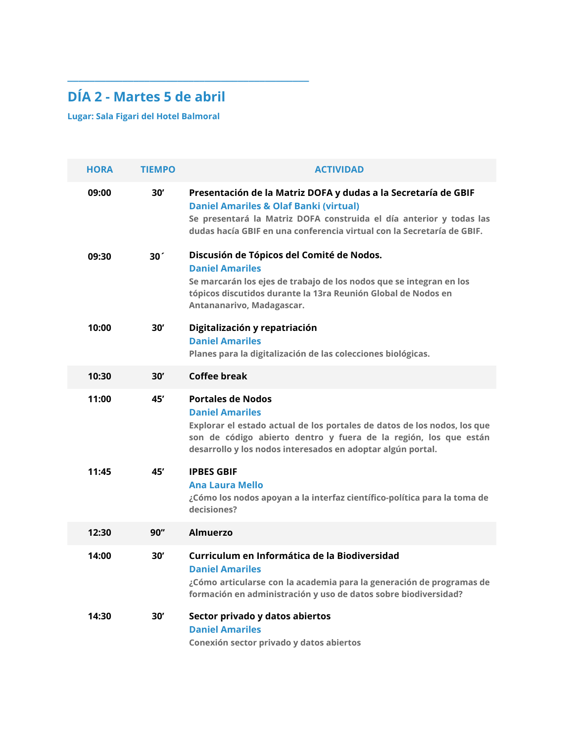# **DÍA 2 - Martes 5 de abril**

**\_\_\_\_\_\_\_\_\_\_\_\_\_\_\_\_\_\_\_\_\_\_\_\_\_\_\_\_\_\_\_\_\_\_\_\_\_\_\_\_\_\_\_\_**

**Lugar: Sala Figari del Hotel Balmoral**

| <b>HORA</b> | <b>TIEMPO</b>   | <b>ACTIVIDAD</b>                                                                                                                                                                                                                                                     |
|-------------|-----------------|----------------------------------------------------------------------------------------------------------------------------------------------------------------------------------------------------------------------------------------------------------------------|
| 09:00       | 30'             | Presentación de la Matriz DOFA y dudas a la Secretaría de GBIF<br><b>Daniel Amariles &amp; Olaf Banki (virtual)</b><br>Se presentará la Matriz DOFA construida el día anterior y todas las<br>dudas hacía GBIF en una conferencia virtual con la Secretaría de GBIF. |
| 09:30       | 30 <sup>7</sup> | Discusión de Tópicos del Comité de Nodos.<br><b>Daniel Amariles</b><br>Se marcarán los ejes de trabajo de los nodos que se integran en los<br>tópicos discutidos durante la 13ra Reunión Global de Nodos en<br>Antananarivo, Madagascar.                             |
| 10:00       | 30'             | Digitalización y repatriación<br><b>Daniel Amariles</b><br>Planes para la digitalización de las colecciones biológicas.                                                                                                                                              |
| 10:30       | 30'             | Coffee break                                                                                                                                                                                                                                                         |
| 11:00       | 45'             | <b>Portales de Nodos</b><br><b>Daniel Amariles</b><br>Explorar el estado actual de los portales de datos de los nodos, los que<br>son de código abierto dentro y fuera de la región, los que están<br>desarrollo y los nodos interesados en adoptar algún portal.    |
| 11:45       | 45'             | <b>IPBES GBIF</b><br>Ana Laura Mello<br>¿Cómo los nodos apoyan a la interfaz científico-política para la toma de<br>decisiones?                                                                                                                                      |
| 12:30       | 90"             | Almuerzo                                                                                                                                                                                                                                                             |
| 14:00       | 30'             | Curriculum en Informática de la Biodiversidad<br><b>Daniel Amariles</b><br>¿Cómo articularse con la academia para la generación de programas de<br>formación en administración y uso de datos sobre biodiversidad?                                                   |
| 14:30       | 30'             | Sector privado y datos abiertos<br><b>Daniel Amariles</b><br>Conexión sector privado y datos abiertos                                                                                                                                                                |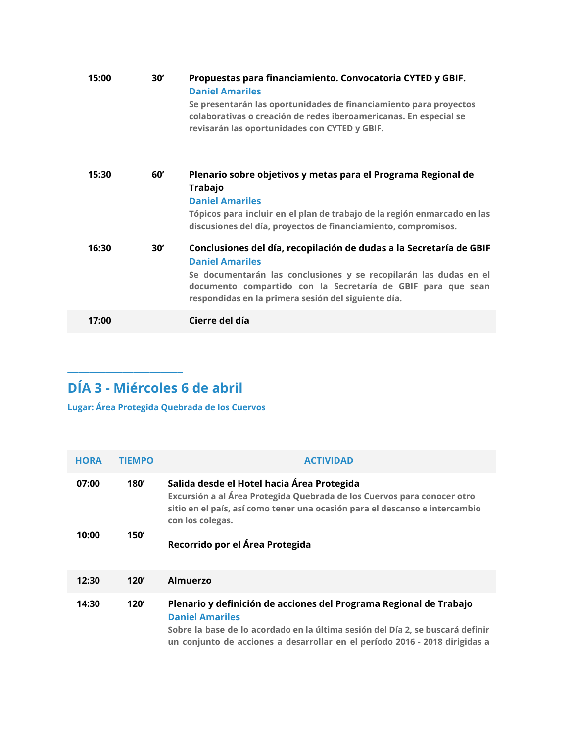| 15:00 | 30' | Propuestas para financiamiento. Convocatoria CYTED y GBIF.<br><b>Daniel Amariles</b><br>Se presentarán las oportunidades de financiamiento para proyectos<br>colaborativas o creación de redes iberoamericanas. En especial se<br>revisarán las oportunidades con CYTED y GBIF.           |
|-------|-----|-------------------------------------------------------------------------------------------------------------------------------------------------------------------------------------------------------------------------------------------------------------------------------------------|
| 15:30 | 60' | Plenario sobre objetivos y metas para el Programa Regional de<br><b>Trabajo</b><br><b>Daniel Amariles</b><br>Tópicos para incluir en el plan de trabajo de la región enmarcado en las<br>discusiones del día, proyectos de financiamiento, compromisos.                                   |
| 16:30 | 30' | Conclusiones del día, recopilación de dudas a la Secretaría de GBIF<br><b>Daniel Amariles</b><br>Se documentarán las conclusiones y se recopilarán las dudas en el<br>documento compartido con la Secretaría de GBIF para que sean<br>respondidas en la primera sesión del siguiente día. |
| 17:00 |     | Cierre del día                                                                                                                                                                                                                                                                            |

# **DÍA 3 - Miércoles 6 de abril**

**\_\_\_\_\_\_\_\_\_\_\_\_\_\_\_\_\_\_\_\_\_**

**Lugar: Área Protegida Quebrada de los Cuervos**

| <b>HORA</b> | <b>TIEMPO</b> | <b>ACTIVIDAD</b>                                                                                                                                                                                                                                              |
|-------------|---------------|---------------------------------------------------------------------------------------------------------------------------------------------------------------------------------------------------------------------------------------------------------------|
| 07:00       | 180'          | Salida desde el Hotel hacia Área Protegida<br>Excursión a al Área Protegida Quebrada de los Cuervos para conocer otro<br>sitio en el país, así como tener una ocasión para el descanso e intercambio<br>con los colegas.                                      |
| 10:00       | 150'          | Recorrido por el Área Protegida                                                                                                                                                                                                                               |
| 12:30       | 120'          | <b>Almuerzo</b>                                                                                                                                                                                                                                               |
| 14:30       | 120'          | Plenario y definición de acciones del Programa Regional de Trabajo<br><b>Daniel Amariles</b><br>Sobre la base de lo acordado en la última sesión del Día 2, se buscará definir<br>un conjunto de acciones a desarrollar en el período 2016 - 2018 dirigidas a |